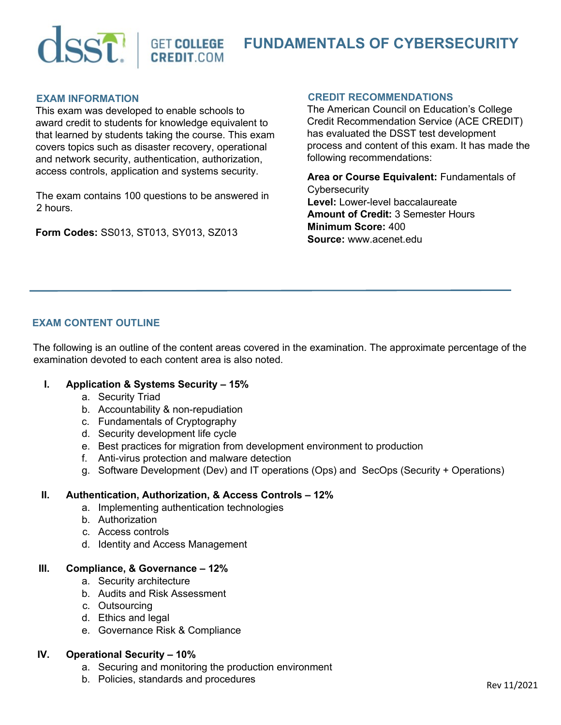

# **FUNDAMENTALS OF CYBERSECURITY**

#### **EXAM INFORMATION**

This exam was developed to enable schools to award credit to students for knowledge equivalent to that learned by students taking the course. This exam covers topics such as disaster recovery, operational and network security, authentication, authorization, access controls, application and systems security.

The exam contains 100 questions to be answered in 2 hours.

**Form Codes:** SS013, ST013, SY013, SZ013

#### **CREDIT RECOMMENDATIONS**

The American Council on Education's College Credit Recommendation Service (ACE CREDIT) has evaluated the DSST test development process and content of this exam. It has made the following recommendations:

**Area or Course Equivalent:** Fundamentals of **Cybersecurity Level:** Lower-level baccalaureate **Amount of Credit:** 3 Semester Hours **Minimum Score:** 400 **Source:** www.acenet.edu

# **EXAM CONTENT OUTLINE**

The following is an outline of the content areas covered in the examination. The approximate percentage of the examination devoted to each content area is also noted.

#### **I. Application & Systems Security – 15%**

- a. Security Triad
- b. Accountability & non-repudiation
- c. Fundamentals of Cryptography
- d. Security development life cycle
- e. Best practices for migration from development environment to production
- f. Anti-virus protection and malware detection
- g. Software Development (Dev) and IT operations (Ops) and SecOps (Security + Operations)

#### **II. Authentication, Authorization, & Access Controls – 12%**

- a. Implementing authentication technologies
- b. Authorization
- c. Access controls
- d. Identity and Access Management

#### **III. Compliance, & Governance – 12%**

- a. Security architecture
- b. Audits and Risk Assessment
- c. Outsourcing
- d. Ethics and legal
- e. Governance Risk & Compliance

# **IV. Operational Security – 10%**

- a. Securing and monitoring the production environment
- b. Policies, standards and procedures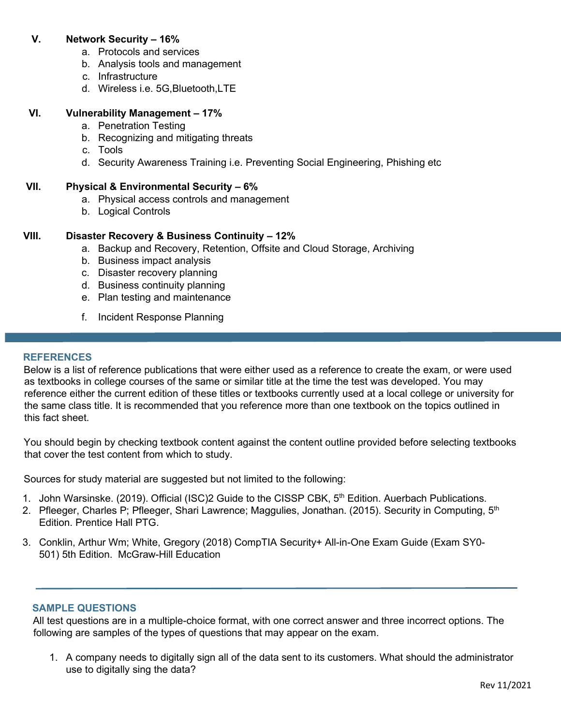# **V. Network Security – 16%**

- a. Protocols and services
- b. Analysis tools and management
- c. Infrastructure
- d. Wireless i.e. 5G,Bluetooth,LTE

#### **VI. Vulnerability Management – 17%**

- a. Penetration Testing
- b. Recognizing and mitigating threats
- c. Tools
- d. Security Awareness Training i.e. Preventing Social Engineering, Phishing etc

#### **VII. Physical & Environmental Security – 6%**

- a. Physical access controls and management
- b. Logical Controls

# **VIII. Disaster Recovery & Business Continuity – 12%**

- a. Backup and Recovery, Retention, Offsite and Cloud Storage, Archiving
- b. Business impact analysis
- c. Disaster recovery planning
- d. Business continuity planning
- e. Plan testing and maintenance
- f. Incident Response Planning

#### **REFERENCES**

Below is a list of reference publications that were either used as a reference to create the exam, or were used as textbooks in college courses of the same or similar title at the time the test was developed. You may reference either the current edition of these titles or textbooks currently used at a local college or university for the same class title. It is recommended that you reference more than one textbook on the topics outlined in this fact sheet.

You should begin by checking textbook content against the content outline provided before selecting textbooks that cover the test content from which to study.

Sources for study material are suggested but not limited to the following:

- 1. John Warsinske. (2019). Official (ISC)2 Guide to the CISSP CBK, 5<sup>th</sup> Edition. Auerbach Publications.
- 2. Pfleeger, Charles P; Pfleeger, Shari Lawrence; Maggulies, Jonathan. (2015). Security in Computing, 5<sup>th</sup> Edition. Prentice Hall PTG.
- 3. Conklin, Arthur Wm; White, Gregory (2018) CompTIA Security+ All-in-One Exam Guide (Exam SY0- 501) 5th Edition. McGraw-Hill Education

# **SAMPLE QUESTIONS**

All test questions are in a multiple-choice format, with one correct answer and three incorrect options. The following are samples of the types of questions that may appear on the exam.

1. A company needs to digitally sign all of the data sent to its customers. What should the administrator use to digitally sing the data?